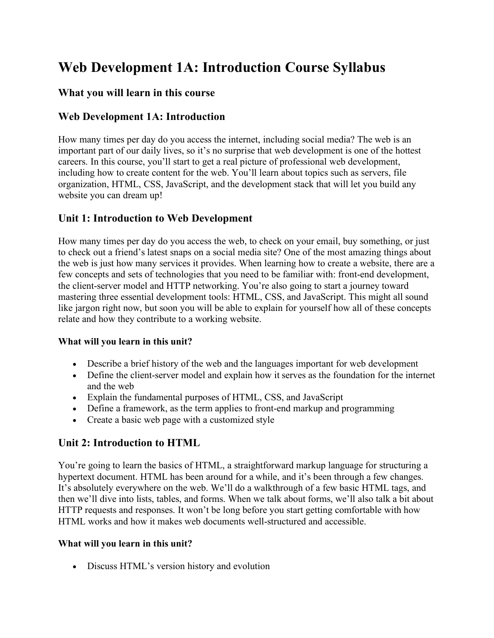# **Web Development 1A: Introduction Course Syllabus**

### **What you will learn in this course**

## **Web Development 1A: Introduction**

How many times per day do you access the internet, including social media? The web is an important part of our daily lives, so it's no surprise that web development is one of the hottest careers. In this course, you'll start to get a real picture of professional web development, including how to create content for the web. You'll learn about topics such as servers, file organization, HTML, CSS, JavaScript, and the development stack that will let you build any website you can dream up!

## **Unit 1: Introduction to Web Development**

How many times per day do you access the web, to check on your email, buy something, or just to check out a friend's latest snaps on a social media site? One of the most amazing things about the web is just how many services it provides. When learning how to create a website, there are a few concepts and sets of technologies that you need to be familiar with: front-end development, the client-server model and HTTP networking. You're also going to start a journey toward mastering three essential development tools: HTML, CSS, and JavaScript. This might all sound like jargon right now, but soon you will be able to explain for yourself how all of these concepts relate and how they contribute to a working website.

#### **What will you learn in this unit?**

- Describe a brief history of the web and the languages important for web development
- Define the client-server model and explain how it serves as the foundation for the internet and the web
- Explain the fundamental purposes of HTML, CSS, and JavaScript
- Define a framework, as the term applies to front-end markup and programming
- Create a basic web page with a customized style

#### **Unit 2: Introduction to HTML**

You're going to learn the basics of HTML, a straightforward markup language for structuring a hypertext document. HTML has been around for a while, and it's been through a few changes. It's absolutely everywhere on the web. We'll do a walkthrough of a few basic HTML tags, and then we'll dive into lists, tables, and forms. When we talk about forms, we'll also talk a bit about HTTP requests and responses. It won't be long before you start getting comfortable with how HTML works and how it makes web documents well-structured and accessible.

#### **What will you learn in this unit?**

• Discuss HTML's version history and evolution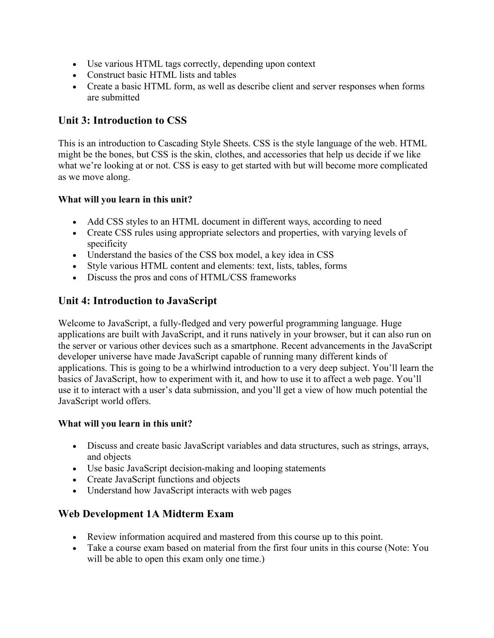- Use various HTML tags correctly, depending upon context
- Construct basic HTML lists and tables
- Create a basic HTML form, as well as describe client and server responses when forms are submitted

# **Unit 3: Introduction to CSS**

This is an introduction to Cascading Style Sheets. CSS is the style language of the web. HTML might be the bones, but CSS is the skin, clothes, and accessories that help us decide if we like what we're looking at or not. CSS is easy to get started with but will become more complicated as we move along.

#### **What will you learn in this unit?**

- Add CSS styles to an HTML document in different ways, according to need
- Create CSS rules using appropriate selectors and properties, with varying levels of specificity
- Understand the basics of the CSS box model, a key idea in CSS
- Style various HTML content and elements: text, lists, tables, forms
- Discuss the pros and cons of HTML/CSS frameworks

# **Unit 4: Introduction to JavaScript**

Welcome to JavaScript, a fully-fledged and very powerful programming language. Huge applications are built with JavaScript, and it runs natively in your browser, but it can also run on the server or various other devices such as a smartphone. Recent advancements in the JavaScript developer universe have made JavaScript capable of running many different kinds of applications. This is going to be a whirlwind introduction to a very deep subject. You'll learn the basics of JavaScript, how to experiment with it, and how to use it to affect a web page. You'll use it to interact with a user's data submission, and you'll get a view of how much potential the JavaScript world offers.

#### **What will you learn in this unit?**

- Discuss and create basic JavaScript variables and data structures, such as strings, arrays, and objects
- Use basic JavaScript decision-making and looping statements
- Create JavaScript functions and objects
- Understand how JavaScript interacts with web pages

# **Web Development 1A Midterm Exam**

- Review information acquired and mastered from this course up to this point.
- Take a course exam based on material from the first four units in this course (Note: You will be able to open this exam only one time.)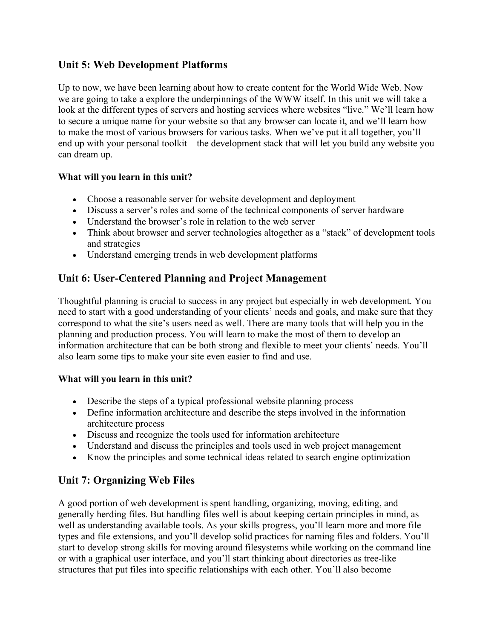# **Unit 5: Web Development Platforms**

Up to now, we have been learning about how to create content for the World Wide Web. Now we are going to take a explore the underpinnings of the WWW itself. In this unit we will take a look at the different types of servers and hosting services where websites "live." We'll learn how to secure a unique name for your website so that any browser can locate it, and we'll learn how to make the most of various browsers for various tasks. When we've put it all together, you'll end up with your personal toolkit—the development stack that will let you build any website you can dream up.

#### **What will you learn in this unit?**

- Choose a reasonable server for website development and deployment
- Discuss a server's roles and some of the technical components of server hardware
- Understand the browser's role in relation to the web server
- Think about browser and server technologies altogether as a "stack" of development tools and strategies
- Understand emerging trends in web development platforms

# **Unit 6: User-Centered Planning and Project Management**

Thoughtful planning is crucial to success in any project but especially in web development. You need to start with a good understanding of your clients' needs and goals, and make sure that they correspond to what the site's users need as well. There are many tools that will help you in the planning and production process. You will learn to make the most of them to develop an information architecture that can be both strong and flexible to meet your clients' needs. You'll also learn some tips to make your site even easier to find and use.

#### **What will you learn in this unit?**

- Describe the steps of a typical professional website planning process
- Define information architecture and describe the steps involved in the information architecture process
- Discuss and recognize the tools used for information architecture
- Understand and discuss the principles and tools used in web project management
- Know the principles and some technical ideas related to search engine optimization

# **Unit 7: Organizing Web Files**

A good portion of web development is spent handling, organizing, moving, editing, and generally herding files. But handling files well is about keeping certain principles in mind, as well as understanding available tools. As your skills progress, you'll learn more and more file types and file extensions, and you'll develop solid practices for naming files and folders. You'll start to develop strong skills for moving around filesystems while working on the command line or with a graphical user interface, and you'll start thinking about directories as tree-like structures that put files into specific relationships with each other. You'll also become